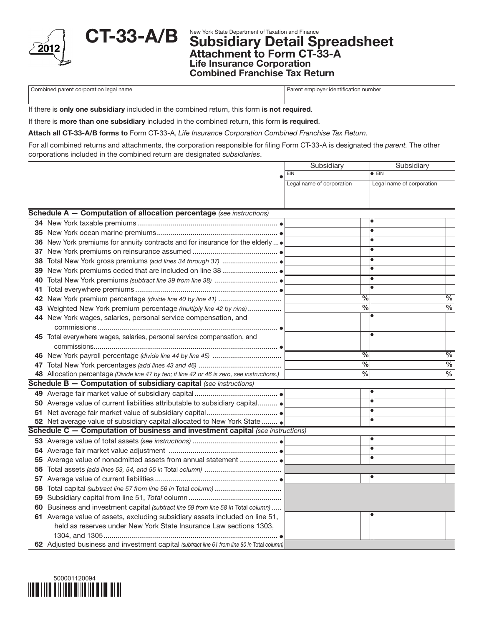

CT-33-A/B Subsidiary Detail Spreadsheet Attachment to Form CT-33-A Life Insurance Corporation Combined Franchise Tax Return

Combined parent corporation legal name **Parent employer identification number** Parent employer identification number

If there is only one subsidiary included in the combined return, this form is not required.

If there is more than one subsidiary included in the combined return, this form is required.

Attach all CT-33-A/B forms to Form CT-33-A, *Life Insurance Corporation Combined Franchise Tax Return.*

For all combined returns and attachments, the corporation responsible for filing Form CT-33-A is designated the *parent.* The other corporations included in the combined return are designated *subsidiaries*.

|    |                                                                                               | Subsidiary                | Subsidiary                |
|----|-----------------------------------------------------------------------------------------------|---------------------------|---------------------------|
|    |                                                                                               | EIN                       | $\bullet$ EIN             |
|    |                                                                                               | Legal name of corporation | Legal name of corporation |
|    |                                                                                               |                           |                           |
|    |                                                                                               |                           |                           |
|    | Schedule A - Computation of allocation percentage (see instructions)                          |                           |                           |
|    |                                                                                               |                           |                           |
|    |                                                                                               |                           |                           |
|    | 36 New York premiums for annuity contracts and for insurance for the elderly                  |                           |                           |
| 37 |                                                                                               |                           |                           |
| 38 |                                                                                               |                           |                           |
|    |                                                                                               |                           |                           |
| 40 |                                                                                               |                           |                           |
| 41 |                                                                                               |                           |                           |
|    |                                                                                               | %                         | $\%$                      |
|    | 43 Weighted New York premium percentage (multiply line 42 by nine)                            | $\overline{\frac{9}{6}}$  | $\%$                      |
|    | 44 New York wages, salaries, personal service compensation, and                               |                           |                           |
|    |                                                                                               |                           |                           |
|    | 45 Total everywhere wages, salaries, personal service compensation, and                       |                           |                           |
|    |                                                                                               |                           |                           |
|    |                                                                                               | $\frac{0}{6}$             | $\%$                      |
| 47 |                                                                                               | $\overline{\frac{0}{6}}$  | $\frac{0}{6}$             |
|    | 48 Allocation percentage (Divide line 47 by ten; if line 42 or 46 is zero, see instructions.) | $\frac{0}{6}$             | $\frac{0}{6}$             |
|    | Schedule B - Computation of subsidiary capital (see instructions)                             |                           |                           |
|    |                                                                                               |                           |                           |
|    | 50 Average value of current liabilities attributable to subsidiary capital                    |                           |                           |
|    |                                                                                               |                           |                           |
|    | 52 Net average value of subsidiary capital allocated to New York State                        |                           |                           |
|    | Schedule C - Computation of business and investment capital (see instructions)                |                           |                           |
|    |                                                                                               |                           |                           |
|    |                                                                                               |                           | $\overline{\bullet}$      |
|    |                                                                                               |                           |                           |
|    |                                                                                               |                           |                           |
|    |                                                                                               |                           |                           |
|    | 58 Total capital (subtract line 57 from line 56 in Total column)                              |                           |                           |
|    |                                                                                               |                           |                           |
|    | 60 Business and investment capital (subtract line 59 from line 58 in Total column)            |                           |                           |
|    | 61 Average value of assets, excluding subsidiary assets included on line 51,                  |                           |                           |
|    | held as reserves under New York State Insurance Law sections 1303,                            |                           |                           |
|    |                                                                                               |                           |                           |
|    | 62 Adjusted business and investment capital (subtract line 61 from line 60 in Total column)   |                           |                           |

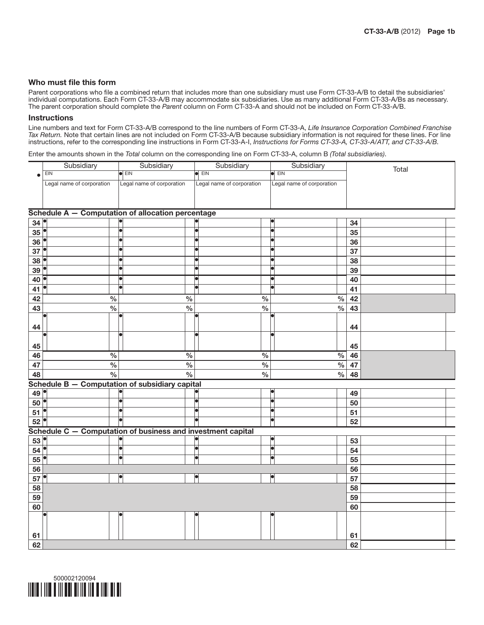## Who must file this form

Parent corporations who file a combined return that includes more than one subsidiary must use Form CT-33-A/B to detail the subsidiaries' individual computations. Each Form CT-33-A/B may accommodate six subsidiaries. Use as many additional Form CT-33-A/Bs as necessary. The parent corporation should complete the *Parent* column on Form CT-33-A and should not be included on Form CT-33-A/B.

## **Instructions**

Line numbers and text for Form CT-33-A/B correspond to the line numbers of Form CT-33-A, *Life Insurance Corporation Combined Franchise Tax Return.* Note that certain lines are not included on Form CT-33-A/B because subsidiary information is not required for these lines. For line instructions, refer to the corresponding line instructions in Form CT-33-A-I, *Instructions for Forms CT-33-A, CT-33-A/ATT, and CT-33-A/B.*

Enter the amounts shown in the *Total* column on the corresponding line on Form CT-33-A, column B *(Total subsidiaries)*.

|         | Subsidiary                                        | Subsidiary                | Subsidiary                | Subsidiary                | Total         |  |
|---------|---------------------------------------------------|---------------------------|---------------------------|---------------------------|---------------|--|
|         | EIN                                               | $\blacksquare$            | <b>EIN</b>                | EIN                       |               |  |
|         | Legal name of corporation                         | Legal name of corporation | Legal name of corporation | Legal name of corporation |               |  |
|         |                                                   |                           |                           |                           |               |  |
|         |                                                   |                           |                           |                           |               |  |
|         | Schedule A - Computation of allocation percentage |                           |                           |                           |               |  |
| اھا ۔ ۔ |                                                   |                           |                           |                           | $\sim$ $\sim$ |  |

| 34             |                                                |                                                             |                      |               | 34 |  |
|----------------|------------------------------------------------|-------------------------------------------------------------|----------------------|---------------|----|--|
| 35             |                                                | lo                                                          | b                    |               | 35 |  |
| 36             | ò                                              | le                                                          | lo                   |               | 36 |  |
| $37^\circ$     | $\overline{\bullet}$                           | b                                                           |                      |               | 37 |  |
| 38             | o                                              | þ                                                           | lo                   |               | 38 |  |
| 39             |                                                | 6                                                           |                      |               | 39 |  |
| 40             | $\bullet$                                      | $\bullet$                                                   | lei                  |               | 40 |  |
| 41             |                                                | o                                                           | b                    |               | 41 |  |
| 42             | $\frac{0}{0}$                                  | $\%$                                                        | $\frac{0}{0}$        | $\frac{0}{0}$ | 42 |  |
| 43             | $\frac{1}{2}$                                  | $\frac{9}{6}$                                               | $\frac{1}{2}$        | $\frac{1}{2}$ | 43 |  |
| 44             |                                                |                                                             |                      |               | 44 |  |
| 45             |                                                |                                                             | b                    |               | 45 |  |
| 46             | $\frac{0}{0}$                                  | $\%$                                                        | $\%$                 | $\%$          | 46 |  |
| 47             | $\overline{\frac{0}{0}}$                       | $\frac{0}{6}$                                               | $\frac{0}{6}$        | $\frac{0}{6}$ | 47 |  |
| 48             | $\frac{0}{0}$                                  | $\frac{1}{2}$                                               | $\frac{0}{0}$        | $\%$          | 48 |  |
|                | Schedule B - Computation of subsidiary capital |                                                             |                      |               |    |  |
| 49             |                                                |                                                             |                      |               | 49 |  |
| $50$ $\bullet$ | T                                              | T                                                           | T                    |               | 50 |  |
| 51             |                                                | o                                                           | Ы                    |               | 51 |  |
| $52^{\circ}$   | $\blacksquare$                                 | T                                                           | lo                   |               | 52 |  |
|                |                                                | Schedule C - Computation of business and investment capital |                      |               |    |  |
| 53             |                                                |                                                             |                      |               | 53 |  |
| 54             | $\overline{\bullet}$                           | T                                                           | ۱a                   |               | 54 |  |
| 55             | $\overline{\bullet}$                           | $\overline{\bullet}$                                        | T                    |               | 55 |  |
| 56             |                                                |                                                             |                      |               | 56 |  |
| 57             | $\overline{\bullet}$                           | $\blacktriangleright$                                       | $\overline{\bullet}$ |               | 57 |  |
| 58             |                                                |                                                             |                      |               | 58 |  |
| 59             |                                                |                                                             |                      |               | 59 |  |
| 60             |                                                |                                                             |                      |               | 60 |  |
| 61             |                                                |                                                             |                      |               | 61 |  |
| 62             |                                                |                                                             |                      |               | 62 |  |

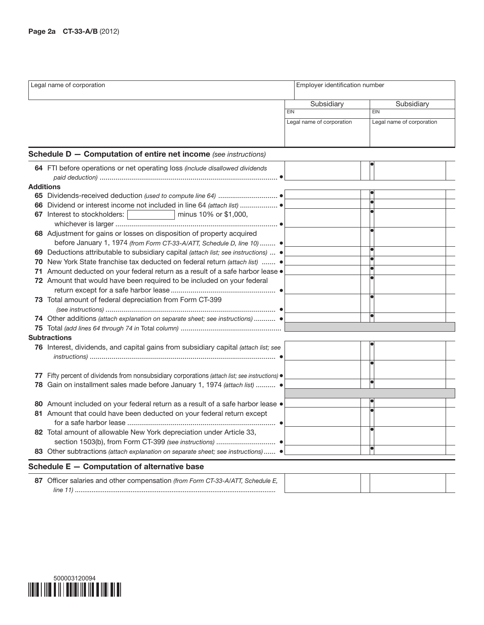|                  | Legal name of corporation                                                                                                                       |            |                           | Employer identification number |  |  |
|------------------|-------------------------------------------------------------------------------------------------------------------------------------------------|------------|---------------------------|--------------------------------|--|--|
|                  |                                                                                                                                                 |            | Subsidiary                | Subsidiary                     |  |  |
|                  |                                                                                                                                                 | <b>EIN</b> |                           | <b>EIN</b>                     |  |  |
|                  |                                                                                                                                                 |            | Legal name of corporation | Legal name of corporation      |  |  |
|                  | <b>Schedule D - Computation of entire net income</b> (see instructions)                                                                         |            |                           |                                |  |  |
|                  | 64 FTI before operations or net operating loss (include disallowed dividends                                                                    |            |                           |                                |  |  |
| <b>Additions</b> |                                                                                                                                                 |            |                           |                                |  |  |
|                  |                                                                                                                                                 |            |                           |                                |  |  |
|                  |                                                                                                                                                 |            |                           |                                |  |  |
|                  | 67 Interest to stockholders:<br>minus 10% or \$1,000,                                                                                           |            |                           |                                |  |  |
|                  | 68 Adjustment for gains or losses on disposition of property acquired<br>before January 1, 1974 (from Form CT-33-A/ATT, Schedule D, line 10)  ● |            |                           |                                |  |  |
| 69.              | Deductions attributable to subsidiary capital (attach list; see instructions)  ●                                                                |            |                           |                                |  |  |
|                  | 70 New York State franchise tax deducted on federal return (attach list)  .                                                                     |            |                           |                                |  |  |
|                  | 71 Amount deducted on your federal return as a result of a safe harbor lease .                                                                  |            |                           |                                |  |  |
|                  | 72 Amount that would have been required to be included on your federal                                                                          |            |                           |                                |  |  |
|                  | 73 Total amount of federal depreciation from Form CT-399                                                                                        |            |                           |                                |  |  |
|                  | 74 Other additions (attach explanation on separate sheet; see instructions)  .                                                                  |            |                           | 6                              |  |  |
|                  |                                                                                                                                                 |            |                           |                                |  |  |
|                  | <b>Subtractions</b>                                                                                                                             |            |                           |                                |  |  |
|                  | 76 Interest, dividends, and capital gains from subsidiary capital (attach list; see                                                             |            |                           |                                |  |  |
|                  |                                                                                                                                                 |            |                           |                                |  |  |
|                  | 77 Fifty percent of dividends from nonsubsidiary corporations (attach list; see instructions) .                                                 |            |                           |                                |  |  |
| 78               | Gain on installment sales made before January 1, 1974 (attach list)  .                                                                          |            |                           |                                |  |  |
|                  | 80 Amount included on your federal return as a result of a safe harbor lease .                                                                  |            |                           |                                |  |  |
|                  | 81 Amount that could have been deducted on your federal return except                                                                           |            |                           |                                |  |  |
|                  |                                                                                                                                                 |            |                           |                                |  |  |
|                  | 82 Total amount of allowable New York depreciation under Article 33,                                                                            |            |                           |                                |  |  |
|                  |                                                                                                                                                 |            |                           |                                |  |  |
|                  | 83 Other subtractions (attach explanation on separate sheet; see instructions) .                                                                |            |                           |                                |  |  |
|                  | Schedule E - Computation of alternative base                                                                                                    |            |                           |                                |  |  |
|                  | 87 Officer salaries and other compensation (from Form CT-33-A/ATT, Schedule E,                                                                  |            |                           |                                |  |  |
|                  |                                                                                                                                                 |            |                           |                                |  |  |

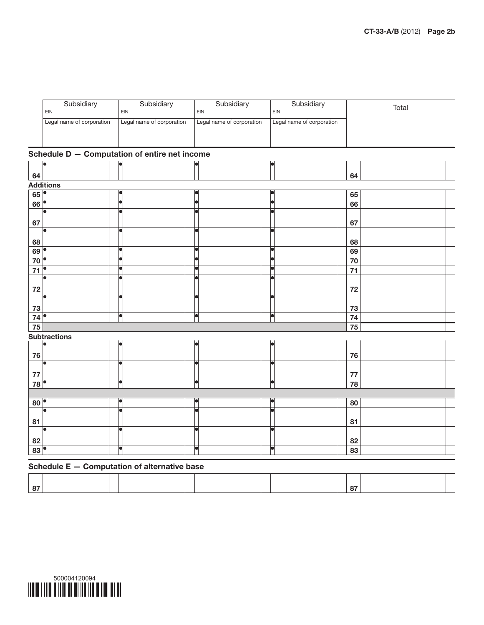| Subsidiarv                | Subsidiary                | Subsidiary                | Subsidiary                | Total |
|---------------------------|---------------------------|---------------------------|---------------------------|-------|
| EIN                       | EIN                       | EIN                       | EIN                       |       |
| Legal name of corporation | Legal name of corporation | Legal name of corporation | Legal name of corporation |       |
|                           |                           |                           |                           |       |
|                           |                           |                           |                           |       |

## Schedule D — Computation of entire net income

| lo                  | loi                                          | la                   | lo                   |    |  |
|---------------------|----------------------------------------------|----------------------|----------------------|----|--|
| 64                  |                                              |                      |                      | 64 |  |
| <b>Additions</b>    |                                              |                      |                      |    |  |
| 65                  | lo                                           |                      |                      | 65 |  |
| 66                  | T                                            | lo                   | H                    | 66 |  |
| 67                  | $\bullet$                                    |                      |                      | 67 |  |
| 68                  | H                                            | г                    |                      | 68 |  |
| 69 <sup>°</sup>     | $\bullet$                                    | la                   | b                    | 69 |  |
| 70                  | $\overline{\bullet}$                         | r                    | b                    | 70 |  |
| $\bf 71$            | $\overline{\bullet}$                         | г                    |                      | 71 |  |
| ${\bf 72}$          | a                                            |                      |                      | 72 |  |
| ┏<br>73             | o                                            | le                   | b                    | 73 |  |
| 74                  | $\overline{\bullet}$                         | T                    | o                    | 74 |  |
| 75                  |                                              |                      |                      | 75 |  |
| <b>Subtractions</b> |                                              |                      |                      |    |  |
| 76                  |                                              |                      |                      | 76 |  |
| Г<br>77             | H                                            | le                   | lеi                  | 77 |  |
| 78                  | T                                            | T                    | d                    | 78 |  |
|                     |                                              |                      |                      |    |  |
| $80^{\circ}$        | $\overline{\bullet}$                         | lo                   | b                    | 80 |  |
| 81                  | l۰                                           | F                    | le                   | 81 |  |
| ┏<br>82             | le.                                          | ┍                    |                      | 82 |  |
| 83                  | $\blacksquare$                               | $\overline{\bullet}$ | $\overline{\bullet}$ | 83 |  |
|                     | Schedule E - Computation of alternative base |                      |                      |    |  |

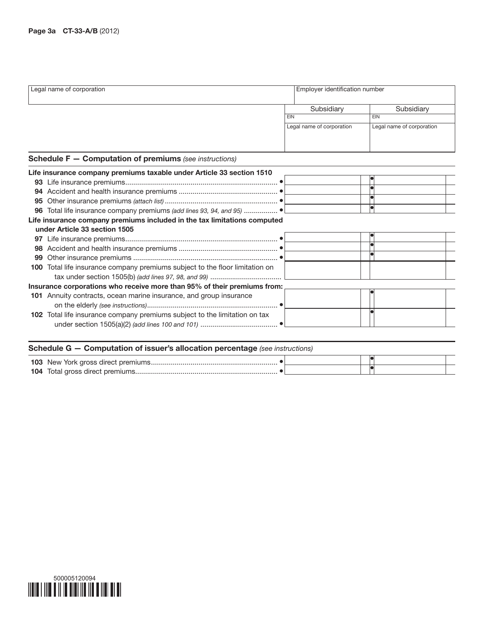|    | Legal name of corporation                                                    |            | Employer identification number |                           |  |
|----|------------------------------------------------------------------------------|------------|--------------------------------|---------------------------|--|
|    |                                                                              |            | Subsidiary                     | Subsidiary                |  |
|    |                                                                              | <b>EIN</b> |                                | EIN                       |  |
|    |                                                                              |            | Legal name of corporation      | Legal name of corporation |  |
|    | <b>Schedule F - Computation of premiums</b> (see instructions)               |            |                                |                           |  |
|    | Life insurance company premiums taxable under Article 33 section 1510        |            |                                |                           |  |
|    |                                                                              |            |                                |                           |  |
|    |                                                                              |            |                                |                           |  |
| 95 |                                                                              |            |                                |                           |  |
| 96 |                                                                              |            |                                | H                         |  |
|    | Life insurance company premiums included in the tax limitations computed     |            |                                |                           |  |
|    | under Article 33 section 1505                                                |            |                                |                           |  |
|    |                                                                              |            |                                |                           |  |
|    |                                                                              |            |                                |                           |  |
| 99 |                                                                              |            |                                |                           |  |
|    | 100 Total life insurance company premiums subject to the floor limitation on |            |                                |                           |  |
|    |                                                                              |            |                                |                           |  |
|    | Insurance corporations who receive more than 95% of their premiums from:     |            |                                |                           |  |
|    | 101 Annuity contracts, ocean marine insurance, and group insurance           |            |                                |                           |  |
|    |                                                                              |            |                                |                           |  |
|    | 102 Total life insurance company premiums subject to the limitation on tax   |            |                                |                           |  |

| <b>Schedule G – Computation of issuer's allocation percentage</b> (see instructions) |  |  |  |  |  |  |  |
|--------------------------------------------------------------------------------------|--|--|--|--|--|--|--|
|                                                                                      |  |  |  |  |  |  |  |
|                                                                                      |  |  |  |  |  |  |  |